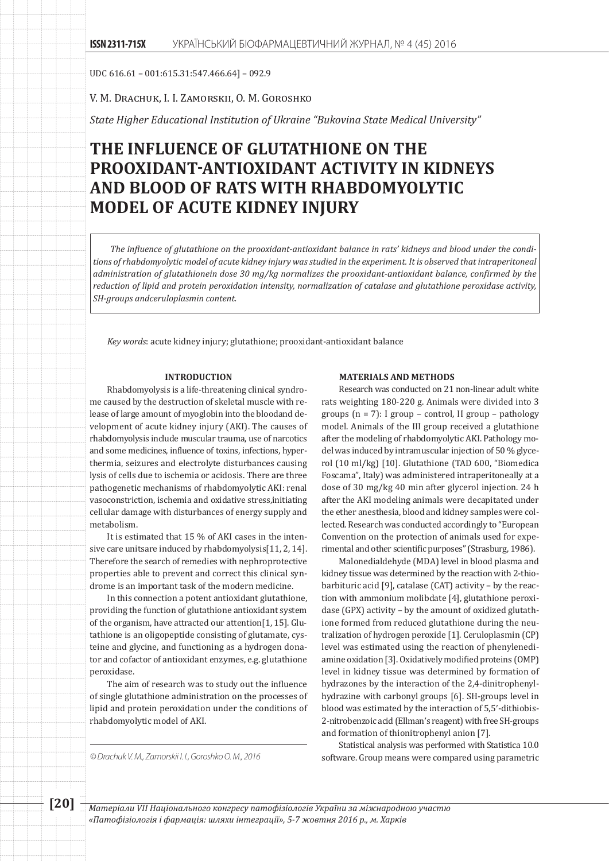UDC 616.61 – 001:615.31:547.466.64] – 092.9

V. M. Drachuk, I. I. Zamorskii, O. M. Goroshko

*State Higher Educational Institution of Ukraine "Bukovina State Medical University"*

# **THE INFLUENCE OF GLUTATHIONE ON THE PROOXIDANT-ANTIOXIDANT ACTIVITY IN KIDNEYS AND BLOOD OF RATS WITH RHABDOMYOLYTIC MODEL OF ACUTE KIDNEY INJURY**

*The influence of glutathione on the prooxidant-antioxidant balance in rats' kidneys and blood under the conditions of rhabdomyolytic model of acute kidney injury was studied in the experiment. It is observed that intraperitoneal administration of glutathioneіn dose 30 mg/kg normalizes the prooxidant-antioxidant balance, confirmed by the reduction of lipid and protein peroxidation intensity, normalization of catalase and glutathione peroxidase activity, SH-groups аndceruloplasmin content.*

*Key words*: acute kidney injury; glutathione; prooxidant-antioxidant balance

#### **INTRODUCTION**

Rhabdomyolysis is a life-threatening clinical syndrome caused by the destruction of skeletal muscle with release of large amount of myoglobin into the bloodand development of acute kidney injury (AKI). The causes of rhabdomyolysis include muscular trauma, use of narcotics and some medicines, influence of toxins, infections, hyperthermia, seizures and electrolyte disturbances causing lysis of cells due to ischemia or acidosis. There are three pathogenetic mechanisms of rhabdomyolytic AKI: renal vasoconstriction, ischemia and oxidative stress,initiating cellular damage with disturbances of energy supply and metabolism.

It is estimated that 15 % of AKI cases in the intensive care unitsare induced by rhabdomyolysis[11, 2, 14]. Therefore the search of remedies with nephroprotective properties able to prevent and correct this clinical syndrome is an important task of the modern medicine.

In this connection a potent antioxidant glutathione, providing the function of glutathione antioxidant system of the organism, have attracted our attention[1, 15]. Glutathione is an oligopeptide consisting of glutamate, cysteine and glycine, and functioning as a hydrogen donator and cofactor of antioxidant enzymes, e.g. glutathione peroxidase.

The aim of research was to study out the influence of single glutathione administration on the processes of lipid and protein peroxidation under the conditions of rhabdomyolytic model of AKI.

#### **MATERIALS AND METHODS**

Research was conducted on 21 non-linear adult white rats weighting 180-220 g. Animals were divided into 3 groups (n = 7): I group – control, II group – pathology model. Animals of the III group received a glutathione after the modeling of rhabdomyolytic AKI. Pathology model was induced by intramuscular injection of 50 % glycerol (10 ml/kg) [10]. Glutathione (TAD 600, "Biomedica Foscama", Italy) was administered intraperitoneally at a dose of 30 mg/kg 40 min after glycerol injection. 24 h after the AKI modeling animals were decapitated under the ether anesthesia, blood and kidney samples were collected. Research was conducted accordingly to "European Convention on the protection of animals used for experimental and other scientific purposes" (Strasburg, 1986).

Malonedialdehyde (MDA) level in blood plasma and kidney tissue was determined by the reaction with 2-thiobarbituric acid [9], catalase (CAT) activity – by the reaction with ammonium molibdate [4], glutathione peroxidase (GPX) activity – by the amount of oxidized glutathione formed from reduced glutathione during the neutralization of hydrogen peroxide [1]. Ceruloplasmin (CP) level was estimated using the reaction of phenylenediamine oxidation [3]. Oxidatively modified proteins (OMP) level in kidney tissue was determined by formation of hydrazones by the interaction of the 2,4-dinitrophenylhydrazine with carbonyl groups [6]. SH-groups level in blood was estimated by the interaction of 5,5′-dithiobis-2-nitrobenzoic acid (Ellman′s reagent) with free SH-groups and formation of thionitrophenyl anion [7].

Statistical analysis was performed with Statistica 10.0 *© Drachuk V. M., Zamorskii I. I., Goroshko O. M., 2016* software. Group means were compared using parametric

**[20]** *Матеріали VІІ Національного конгресу патофізіологів України за міжнародною участю «Патофізіологія і фармація: шляхи інтеграції», 5-7 жовтня 2016 р., м. Харків*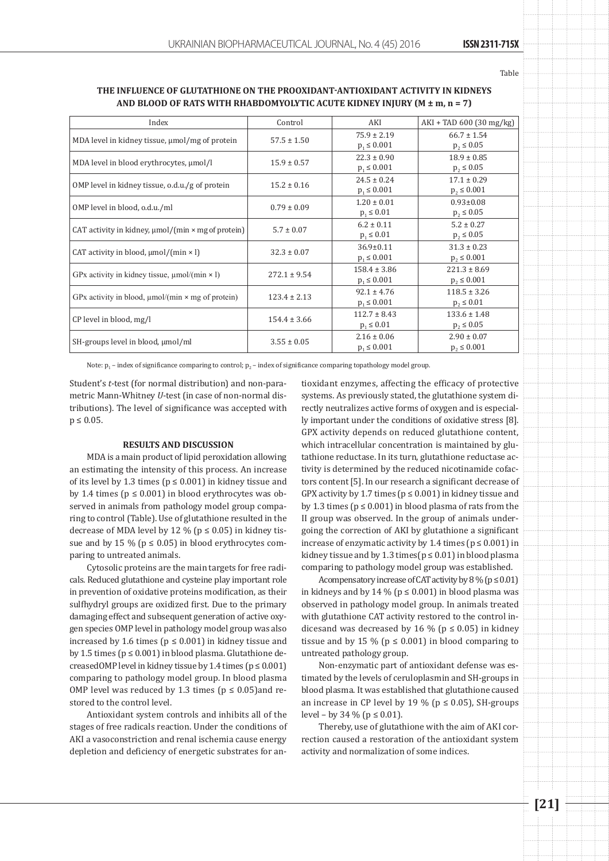Table

### **The influence of glutathione on the prooxidant-antioxidant activity in kidneys and blood of rats with rhabdomyolytic acute kidney injury (M ± m, n = 7)**

| Index                                                          | Control          | AKI              | $AKI + TAD 600 (30 mg/kg)$ |
|----------------------------------------------------------------|------------------|------------------|----------------------------|
| MDA level in kidney tissue, µmol/mg of protein                 | $57.5 \pm 1.50$  | $75.9 \pm 2.19$  | $66.7 \pm 1.54$            |
|                                                                |                  | $p_1 \le 0.001$  | $p_2 \le 0.05$             |
| MDA level in blood erythrocytes, µmol/l                        | $15.9 \pm 0.57$  | $22.3 \pm 0.90$  | $18.9 \pm 0.85$            |
|                                                                |                  | $p_1 \le 0.001$  | $p_2 \le 0.05$             |
| OMP level in kidney tissue, o.d.u./g of protein                | $15.2 \pm 0.16$  | $24.5 \pm 0.24$  | $17.1 \pm 0.29$            |
|                                                                |                  | $p_1 \le 0.001$  | $p_2 \le 0.001$            |
| OMP level in blood, o.d.u./ml                                  | $0.79 \pm 0.09$  | $1.20 \pm 0.01$  | $0.93 \pm 0.08$            |
|                                                                |                  | $p_1 \le 0.01$   | $p_2 \le 0.05$             |
| CAT activity in kidney, $\mu$ mol/(min $\times$ mg of protein) | $5.7 \pm 0.07$   | $6.2 \pm 0.11$   | $5.2 \pm 0.27$             |
|                                                                |                  | $p_1 \le 0.01$   | $p_2 \le 0.05$             |
| CAT activity in blood, $\mu$ mol/(min × l)                     | $32.3 \pm 0.07$  | $36.9 \pm 0.11$  | $31.3 \pm 0.23$            |
|                                                                |                  | $p_1 \le 0.001$  | $p_2 \le 0.001$            |
| GPx activity in kidney tissue, $\mu$ mol/(min × 1)             | $272.1 \pm 9.54$ | $158.4 \pm 3.86$ | $221.3 \pm 8.69$           |
|                                                                |                  | $p_1 \le 0.001$  | $p_2 \le 0.001$            |
| GPx activity in blood, $\mu$ mol/(min $\times$ mg of protein)  | $123.4 \pm 2.13$ | $92.1 \pm 4.76$  | $118.5 \pm 3.26$           |
|                                                                |                  | $p_1 \le 0.001$  | $p_2 \le 0.01$             |
| CP level in blood, mg/l                                        | $154.4 \pm 3.66$ | $112.7 \pm 8.43$ | $133.6 \pm 1.48$           |
|                                                                |                  | $p_1 \le 0.01$   | $p_2 \le 0.05$             |
| SH-groups level in blood, $\mu$ mol/ml                         | $3.55 \pm 0.05$  | $2.16 \pm 0.06$  | $2.90 \pm 0.07$            |
|                                                                |                  | $p_1 \le 0.001$  | $p_2 \le 0.001$            |

Note:  $p_1$  – index of significance comparing to control;  $p_2$  – index of significance comparing topathology model group.

Student's *t*-test (for normal distribution) and non-parametric Mann-Whitney *U*-test (in case of non-normal distributions). The level of significance was accepted with  $p \le 0.05$ .

#### **RESULTS AND DISCUSSION**

MDA is a main product of lipid peroxidation allowing an estimating the intensity of this process. An increase of its level by 1.3 times ( $p \le 0.001$ ) in kidney tissue and by 1.4 times ( $p \le 0.001$ ) in blood erythrocytes was observed in animals from pathology model group comparing to control (Table). Use of glutathione resulted in the decrease of MDA level by 12 % ( $p \le 0.05$ ) in kidney tissue and by 15 % ( $p \le 0.05$ ) in blood erythrocytes comparing to untreated animals.

Cytosolic proteins are the main targets for free radicals. Reduced glutathione and cysteine play important role in prevention of oxidative proteins modification, as their sulfhydryl groups are oxidized first. Due to the primary damaging effect and subsequent generation of active oxygen species OMP level in pathology model group was also increased by 1.6 times ( $p \le 0.001$ ) in kidney tissue and by 1.5 times ( $p \le 0.001$ ) in blood plasma. Glutathione decreasedOMP level in kidney tissue by 1.4 times ( $p \le 0.001$ ) comparing to pathology model group. In blood plasma OMP level was reduced by 1.3 times ( $p \le 0.05$ ) and restored to the control level.

Antioxidant system controls and inhibits all of the stages of free radicals reaction. Under the conditions of AKI a vasoconstriction and renal ischemia cause energy depletion and deficiency of energetic substrates for antioxidant enzymes, affecting the efficacy of protective systems. As previously stated, the glutathione system directly neutralizes active forms of oxygen and is especially important under the conditions of oxidative stress [8]. GPX activity depends on reduced glutathione content, which intracellular concentration is maintained by glutathione reductase. In its turn, glutathione reductase activity is determined by the reduced nicotinamide cofactors content [5]. In our research a significant decrease of GPX activity by 1.7 times ( $p \le 0.001$ ) in kidney tissue and by 1.3 times ( $p \le 0.001$ ) in blood plasma of rats from the II group was observed. In the group of animals undergoing the correction of AKI by glutathione a significant increase of enzymatic activity by 1.4 times ( $p \le 0.001$ ) in kidney tissue and by 1.3 times( $p \le 0.01$ ) in blood plasma comparing to pathology model group was established.

Acompensatory increase of CAT activity by  $8\%$  ( $p \le 0.01$ ) in kidneys and by 14 % ( $p \le 0.001$ ) in blood plasma was observed in pathology model group. In animals treated with glutathione CAT activity restored to the control indicesand was decreased by 16 % ( $p \le 0.05$ ) in kidney tissue and by 15 % ( $p \le 0.001$ ) in blood comparing to untreated pathology group.

Non-enzymatic part of antioxidant defense was estimated by the levels of ceruloplasmin and SH-groups in blood plasma. It was established that glutathione caused an increase in CP level by 19 % ( $p \le 0.05$ ), SH-groups level – by 34 % ( $p \le 0.01$ ).

Thereby, use of glutathione with the aim of AKI correction caused a restoration of the antioxidant system activity and normalization of some indices.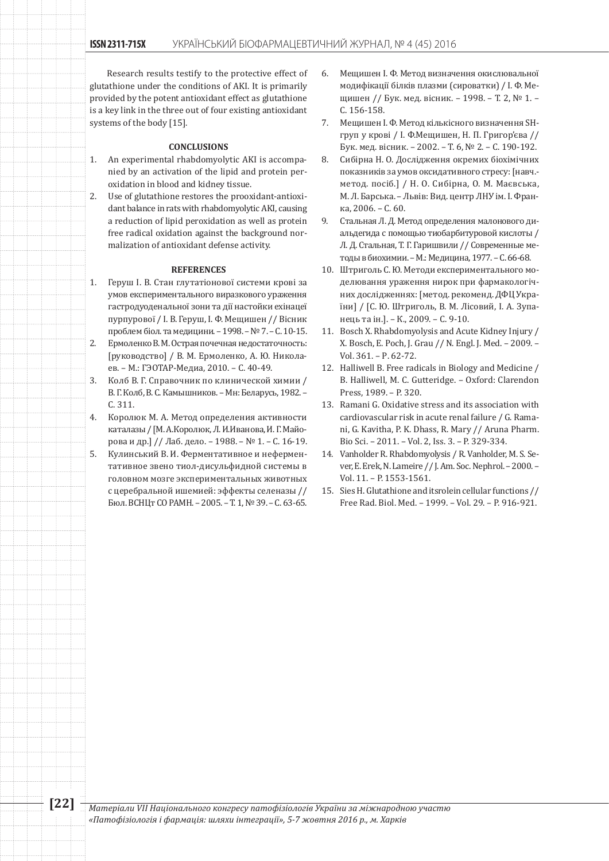Research results testify to the protective effect of glutathione under the conditions of AKI. It is primarily provided by the potent antioxidant effect as glutathione is a key link in the three out of four existing antioxidant systems of the body [15].

#### **CONCLUSIONS**

- 1. An experimental rhabdomyolytic AKI is accompanied by an activation of the lipid and protein peroxidation in blood and kidney tissue.
- 2. Use of glutathione restores the prooxidant-antioxidant balance in rats with rhabdomyolytic AKI, causing a reduction of lipid peroxidation as well as protein free radical oxidation against the background normalization of antioxidant defense activity.

#### **REFERENCES**

- 1. Геруш І. В. Стан глутатіонової системи крові за умов експериментального виразкового ураження гастродуоденальної зони та дії настойки ехінацеї пурпурової / І. В. Геруш, І. Ф. Мещишен // Вісник проблем біол. та медицини. – 1998. – № 7. – С. 10-15. 2. Ермоленко В. М. Острая почечная недостаточность: [руководство] / В. М. Ермоленко, А. Ю. Никола-
- ев. М.: ГЭОТАР-Медиа, 2010. С. 40-49. 3. Колб В. Г. Справочник по клинической химии /
- В. Г. Колб, В. С. Камышников. Мн: Белaрусь, 1982. С. 311.
- 4. Королюк М. А. Метод определения активности каталазы / [М. А.Королюк, Л. И.Иванова, И. Г. Майорова и др.] // Лаб. дело. – 1988. – № 1. – С. 16-19.
- 5. Кулинський В. И. Ферментативное и неферментативное звено тиол-дисульфидной системы в головном мозге экспериментальных животных с церебральной ишемией: эффекты селеназы // Бюл. ВСНЦт СО РАМН. – 2005. – Т. 1, № 39. – С. 63-65.
- 6. Мещишен І. Ф. Метод визначення окислювальної модифікації білків плазми (сироватки) / І. Ф. Мещишен // Бук. мед. вісник. – 1998. – Т. 2, № 1. – С. 156-158.
- 7. Мещишен І. Ф. Метод кількісного визначення SHгруп у крові / І. Ф.Мещишен, Н. П. Григор'єва // Бук. мед. вісник. – 2002. – Т. 6, № 2. – С. 190-192.
- 8. Сибірна Н. О. Дослідження окремих біохімічних показників за умов оксидативного стресу: [навч. метод. посіб.] / Н. О. Сибірна, О. М. Маєвська, М. Л. Барська. – Львів: Вид. центр ЛНУ ім. І. Франка, 2006. – С. 60.
- 9. Стальная Л. Д. Метод определения малонового диальдегида с помощью тиобарбитуровой кислоты / Л. Д. Стальная, Т. Г. Гаришвили // Современные методы в биохимии. – М.: Медицина, 1977. – С. 66-68.
- 10. Штриголь С. Ю. Методи експериментального моделювання ураження нирок при фармакологічних дослідженнях: [метод. рекоменд. ДФЦ України] / [С. Ю. Штриголь, В. М. Лісовий, І. А. Зупанець та ін.]. – К., 2009. – С. 9-10.
- 11. Bosch X. Rhabdomyolysis and Acute Kidney Injury / X. Bosch, E. Poch, J. Grau // N. Engl. J. Med. – 2009. – Vol. 361. – Р. 62-72.
- 12. Halliwell B. Free radicals in Biology and Medicine / B. Halliwell, M. C. Gutteridge. – Oxford: Clarendon Press, 1989. – P. 320.
- 13. Ramani G. Oxidative stress and its association with cardiovascular risk in acute renal failure / G. Ramani, G. Kavitha, P. K. Dhass, R. Mary // Aruna Pharm. Bio Sci. – 2011. – Vol. 2, Iss. 3. – P. 329-334.
- 14. Vanholder R. Rhabdomyolysis / R. Vanholder, M. S. Sever, E. Erek, N. Lameire // J. Am. Soc. Nephrol. – 2000. – Vol. 11. – P. 1553-1561.
- 15. Sies H. Glutathione and itsrolein cellular functions // Free Rad. Biol. Med. – 1999. – Vol. 29. – P. 916-921.